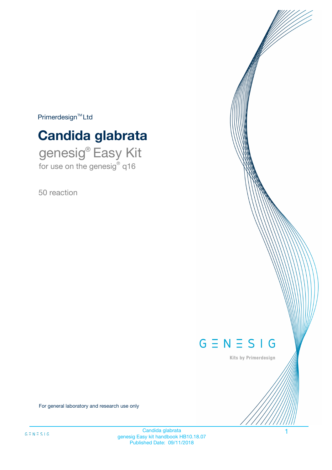$Primerdesign^{\text{TM}}Ltd$ 

# **Candida glabrata**

genesig® Easy Kit for use on the genesig® q16

50 reaction



Kits by Primerdesign

For general laboratory and research use only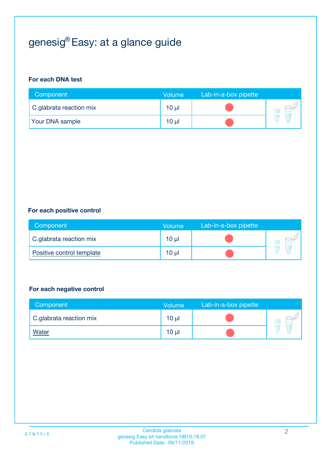# genesig® Easy: at a glance guide

#### **For each DNA test**

| Component               | <b>Volume</b> | Lab-in-a-box pipette |  |
|-------------------------|---------------|----------------------|--|
| C.glabrata reaction mix | 10 µl         |                      |  |
| <b>Your DNA sample</b>  | 10 µl         |                      |  |

#### **For each positive control**

| Component                 | Volume   | Lab-in-a-box pipette |  |
|---------------------------|----------|----------------------|--|
| C.glabrata reaction mix   | $10 \mu$ |                      |  |
| Positive control template | $10 \mu$ |                      |  |

#### **For each negative control**

| Component               | <b>Volume</b>   | Lab-in-a-box pipette |  |
|-------------------------|-----------------|----------------------|--|
| C.glabrata reaction mix | 10 <sub>µ</sub> |                      |  |
| <b>Water</b>            | 10 µl           |                      |  |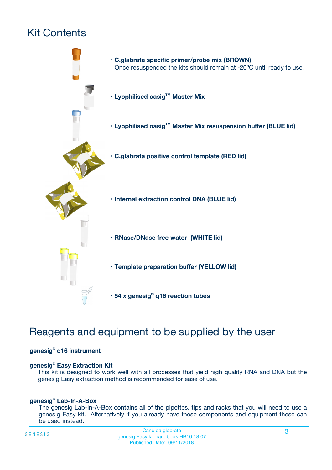# Kit Contents



## Reagents and equipment to be supplied by the user

#### **genesig® q16 instrument**

#### **genesig® Easy Extraction Kit**

This kit is designed to work well with all processes that yield high quality RNA and DNA but the genesig Easy extraction method is recommended for ease of use.

#### **genesig® Lab-In-A-Box**

The genesig Lab-In-A-Box contains all of the pipettes, tips and racks that you will need to use a genesig Easy kit. Alternatively if you already have these components and equipment these can be used instead.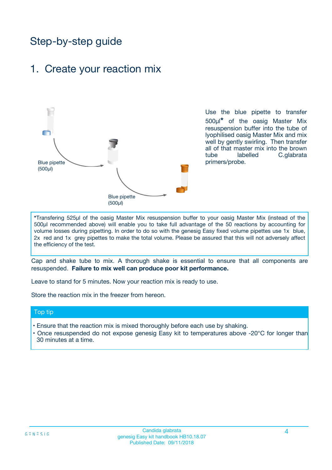## Step-by-step guide

### 1. Create your reaction mix



Use the blue pipette to transfer 500µl**\*** of the oasig Master Mix resuspension buffer into the tube of lyophilised oasig Master Mix and mix well by gently swirling. Then transfer all of that master mix into the brown tube labelled C.glabrata primers/probe.

**\***Transfering 525µl of the oasig Master Mix resuspension buffer to your oasig Master Mix (instead of the 500µl recommended above) will enable you to take full advantage of the 50 reactions by accounting for volume losses during pipetting. In order to do so with the genesig Easy fixed volume pipettes use 1x blue, 2x red and 1x grey pipettes to make the total volume. Please be assured that this will not adversely affect the efficiency of the test.

Cap and shake tube to mix. A thorough shake is essential to ensure that all components are resuspended. **Failure to mix well can produce poor kit performance.**

Leave to stand for 5 minutes. Now your reaction mix is ready to use.

Store the reaction mix in the freezer from hereon.

#### Top tip

- Ensure that the reaction mix is mixed thoroughly before each use by shaking.
- Once resuspended do not expose genesig Easy kit to temperatures above -20°C for longer than 30 minutes at a time.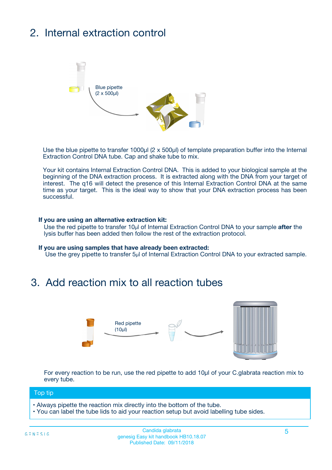# 2. Internal extraction control



Use the blue pipette to transfer 1000µl (2 x 500µl) of template preparation buffer into the Internal Extraction Control DNA tube. Cap and shake tube to mix.

Your kit contains Internal Extraction Control DNA. This is added to your biological sample at the beginning of the DNA extraction process. It is extracted along with the DNA from your target of interest. The q16 will detect the presence of this Internal Extraction Control DNA at the same time as your target. This is the ideal way to show that your DNA extraction process has been successful.

#### **If you are using an alternative extraction kit:**

Use the red pipette to transfer 10µl of Internal Extraction Control DNA to your sample **after** the lysis buffer has been added then follow the rest of the extraction protocol.

#### **If you are using samples that have already been extracted:**

Use the grey pipette to transfer 5µl of Internal Extraction Control DNA to your extracted sample.

### 3. Add reaction mix to all reaction tubes



For every reaction to be run, use the red pipette to add 10µl of your C.glabrata reaction mix to every tube.

#### Top tip

- Always pipette the reaction mix directly into the bottom of the tube.
- You can label the tube lids to aid your reaction setup but avoid labelling tube sides.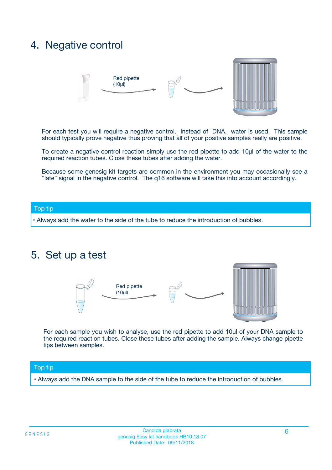### 4. Negative control



For each test you will require a negative control. Instead of DNA, water is used. This sample should typically prove negative thus proving that all of your positive samples really are positive.

To create a negative control reaction simply use the red pipette to add 10µl of the water to the required reaction tubes. Close these tubes after adding the water.

Because some genesig kit targets are common in the environment you may occasionally see a "late" signal in the negative control. The q16 software will take this into account accordingly.

#### Top tip

**•** Always add the water to the side of the tube to reduce the introduction of bubbles.

### 5. Set up a test



For each sample you wish to analyse, use the red pipette to add 10µl of your DNA sample to the required reaction tubes. Close these tubes after adding the sample. Always change pipette tips between samples.

#### Top tip

**•** Always add the DNA sample to the side of the tube to reduce the introduction of bubbles.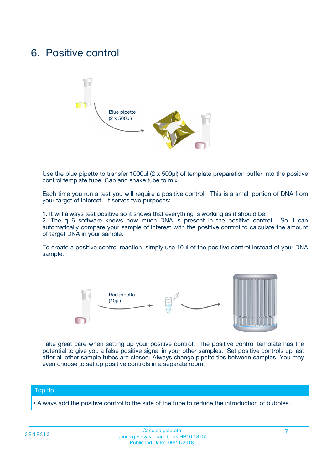### 6. Positive control



Use the blue pipette to transfer 1000µl (2 x 500µl) of template preparation buffer into the positive control template tube. Cap and shake tube to mix.

Each time you run a test you will require a positive control. This is a small portion of DNA from your target of interest. It serves two purposes:

1. It will always test positive so it shows that everything is working as it should be.

2. The q16 software knows how much DNA is present in the positive control. So it can automatically compare your sample of interest with the positive control to calculate the amount of target DNA in your sample.

To create a positive control reaction, simply use 10µl of the positive control instead of your DNA sample.



Take great care when setting up your positive control. The positive control template has the potential to give you a false positive signal in your other samples. Set positive controls up last after all other sample tubes are closed. Always change pipette tips between samples. You may even choose to set up positive controls in a separate room.

#### Top tip

**•** Always add the positive control to the side of the tube to reduce the introduction of bubbles.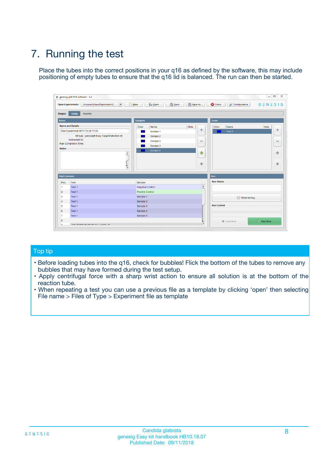# 7. Running the test

Place the tubes into the correct positions in your q16 as defined by the software, this may include positioning of empty tubes to ensure that the q16 lid is balanced. The run can then be started.

| genesig q16 PCR software - 1.2                                               |                                     | $\Box$                                                                                  |
|------------------------------------------------------------------------------|-------------------------------------|-----------------------------------------------------------------------------------------|
| Unsaved (New Experiment 2<br>$\vert \cdot \vert$<br><b>Open Experiments:</b> | <b>D</b> Open<br>Save<br>$\Box$ New | Save As<br><b>C</b> Close<br>$G \equiv N \equiv S \mid G$<br><b>&amp; Configuration</b> |
| Setup<br><b>Results</b><br><b>Stages:</b>                                    |                                     |                                                                                         |
| <b>Notes</b>                                                                 | Samples                             | <b>Tests</b>                                                                            |
| <b>Name and Details</b>                                                      | Color<br>Name                       | Note<br>Color<br>Note<br>Name                                                           |
| New Experiment 2017-10-26 11:06                                              | Sample 1                            | ع<br>条<br>Test 1                                                                        |
| Kit type: genesig® Easy Target Detection kit                                 | Sample 2                            |                                                                                         |
| Instrument Id.:                                                              | Sample 3                            | $\qquad \qquad \blacksquare$<br>$\qquad \qquad \blacksquare$                            |
| Run Completion Time:                                                         | Sample 4                            |                                                                                         |
| <b>Notes</b>                                                                 | Sample 5<br>A<br>v                  | $\triangle$<br>4<br>$\oplus$<br>₩                                                       |
| <b>Well Contents</b>                                                         |                                     | <b>Run</b>                                                                              |
| Pos.<br>Test                                                                 | Sample                              | <b>Run Status</b>                                                                       |
| Test 1<br>-1                                                                 | <b>Negative Control</b>             | $\blacktriangle$                                                                        |
| $\overline{2}$<br>Test 1                                                     | <b>Positive Control</b>             |                                                                                         |
| $\overline{\mathbf{3}}$<br>Test 1                                            | Sample 1                            | Show full log                                                                           |
| Test 1<br>$\overline{4}$                                                     | Sample 2                            |                                                                                         |
| 5<br>Test 1                                                                  | Sample 3                            | <b>Run Control</b>                                                                      |
| 6<br>Test 1                                                                  | Sample 4                            |                                                                                         |
| $\overline{7}$<br>Test 1                                                     | Sample 5                            |                                                                                         |
| 8                                                                            |                                     | $\triangleright$ Start Run<br>Abort Run                                                 |
| <b>JOD FURTY TUDE TO BUILDED IN</b>                                          |                                     | $\overline{\mathbf{v}}$                                                                 |

#### Top tip

- Before loading tubes into the q16, check for bubbles! Flick the bottom of the tubes to remove any bubbles that may have formed during the test setup.
- Apply centrifugal force with a sharp wrist action to ensure all solution is at the bottom of the reaction tube.
- When repeating a test you can use a previous file as a template by clicking 'open' then selecting File name > Files of Type > Experiment file as template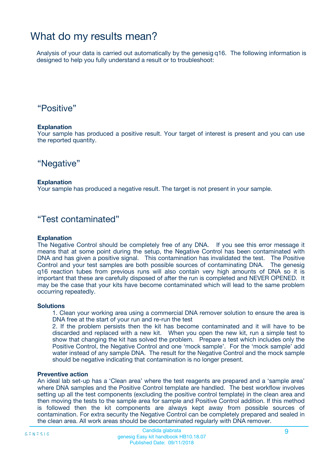## What do my results mean?

Analysis of your data is carried out automatically by the genesig q16. The following information is designed to help you fully understand a result or to troubleshoot:

### "Positive"

#### **Explanation**

Your sample has produced a positive result. Your target of interest is present and you can use the reported quantity.

"Negative"

#### **Explanation**

Your sample has produced a negative result. The target is not present in your sample.

### "Test contaminated"

#### **Explanation**

The Negative Control should be completely free of any DNA. If you see this error message it means that at some point during the setup, the Negative Control has been contaminated with DNA and has given a positive signal. This contamination has invalidated the test. The Positive Control and your test samples are both possible sources of contaminating DNA. The genesig q16 reaction tubes from previous runs will also contain very high amounts of DNA so it is important that these are carefully disposed of after the run is completed and NEVER OPENED. It may be the case that your kits have become contaminated which will lead to the same problem occurring repeatedly.

#### **Solutions**

1. Clean your working area using a commercial DNA remover solution to ensure the area is DNA free at the start of your run and re-run the test

2. If the problem persists then the kit has become contaminated and it will have to be discarded and replaced with a new kit. When you open the new kit, run a simple test to show that changing the kit has solved the problem. Prepare a test which includes only the Positive Control, the Negative Control and one 'mock sample'. For the 'mock sample' add water instead of any sample DNA. The result for the Negative Control and the mock sample should be negative indicating that contamination is no longer present.

#### **Preventive action**

An ideal lab set-up has a 'Clean area' where the test reagents are prepared and a 'sample area' where DNA samples and the Positive Control template are handled. The best workflow involves setting up all the test components (excluding the positive control template) in the clean area and then moving the tests to the sample area for sample and Positive Control addition. If this method is followed then the kit components are always kept away from possible sources of contamination. For extra security the Negative Control can be completely prepared and sealed in the clean area. All work areas should be decontaminated regularly with DNA remover.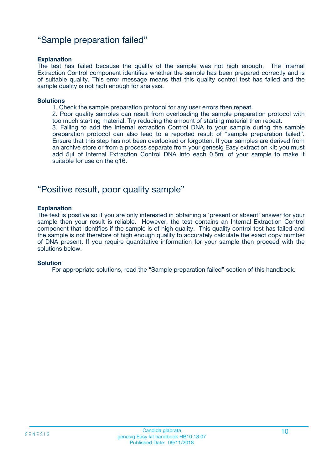### "Sample preparation failed"

#### **Explanation**

The test has failed because the quality of the sample was not high enough. The Internal Extraction Control component identifies whether the sample has been prepared correctly and is of suitable quality. This error message means that this quality control test has failed and the sample quality is not high enough for analysis.

#### **Solutions**

1. Check the sample preparation protocol for any user errors then repeat.

2. Poor quality samples can result from overloading the sample preparation protocol with too much starting material. Try reducing the amount of starting material then repeat.

3. Failing to add the Internal extraction Control DNA to your sample during the sample preparation protocol can also lead to a reported result of "sample preparation failed". Ensure that this step has not been overlooked or forgotten. If your samples are derived from an archive store or from a process separate from your genesig Easy extraction kit; you must add 5µl of Internal Extraction Control DNA into each 0.5ml of your sample to make it suitable for use on the q16.

### "Positive result, poor quality sample"

#### **Explanation**

The test is positive so if you are only interested in obtaining a 'present or absent' answer for your sample then your result is reliable. However, the test contains an Internal Extraction Control component that identifies if the sample is of high quality. This quality control test has failed and the sample is not therefore of high enough quality to accurately calculate the exact copy number of DNA present. If you require quantitative information for your sample then proceed with the solutions below.

#### **Solution**

For appropriate solutions, read the "Sample preparation failed" section of this handbook.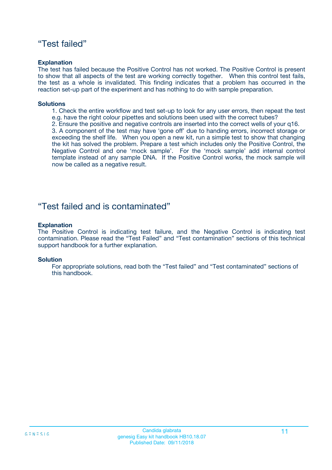### "Test failed"

#### **Explanation**

The test has failed because the Positive Control has not worked. The Positive Control is present to show that all aspects of the test are working correctly together. When this control test fails, the test as a whole is invalidated. This finding indicates that a problem has occurred in the reaction set-up part of the experiment and has nothing to do with sample preparation.

#### **Solutions**

- 1. Check the entire workflow and test set-up to look for any user errors, then repeat the test e.g. have the right colour pipettes and solutions been used with the correct tubes?
- 2. Ensure the positive and negative controls are inserted into the correct wells of your q16.

3. A component of the test may have 'gone off' due to handing errors, incorrect storage or exceeding the shelf life. When you open a new kit, run a simple test to show that changing the kit has solved the problem. Prepare a test which includes only the Positive Control, the Negative Control and one 'mock sample'. For the 'mock sample' add internal control template instead of any sample DNA. If the Positive Control works, the mock sample will now be called as a negative result.

### "Test failed and is contaminated"

#### **Explanation**

The Positive Control is indicating test failure, and the Negative Control is indicating test contamination. Please read the "Test Failed" and "Test contamination" sections of this technical support handbook for a further explanation.

#### **Solution**

For appropriate solutions, read both the "Test failed" and "Test contaminated" sections of this handbook.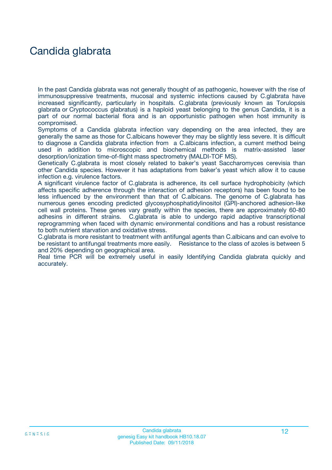## Candida glabrata

In the past Candida glabrata was not generally thought of as pathogenic, however with the rise of immunosuppressive treatments, mucosal and systemic infections caused by C.glabrata have increased significantly, particularly in hospitals. C.glabrata (previously known as Torulopsis glabrata or Cryptococcus glabratus) is a haploid yeast belonging to the genus Candida, it is a part of our normal bacterial flora and is an opportunistic pathogen when host immunity is compromised.

Symptoms of a Candida glabrata infection vary depending on the area infected, they are generally the same as those for C.albicans however they may be slightly less severe. It is difficult to diagnose a Candida glabrata infection from a C.albicans infection, a current method being used in addition to microscopic and biochemical methods is matrix-assisted laser desorption/ionization time-of-flight mass spectrometry (MALDI-TOF MS).

Genetically C.glabrata is most closely related to baker's yeast Saccharomyces cerevisia than other Candida species. However it has adaptations from baker's yeast which allow it to cause infection e.g. virulence factors.

A significant virulence factor of C.glabrata is adherence, its cell surface hydrophobicity (which affects specific adherence through the interaction of adhesion receptors) has been found to be less influenced by the environment than that of C.albicans. The genome of C.glabrata has numerous genes encoding predicted glycosyphosphatidylinositol (GPI)-anchored adhesion-like cell wall proteins. These genes vary greatly within the species, there are approximately 60-80 adhesins in different strains. C.glabrata is able to undergo rapid adaptive transcriptional reprogramming when faced with dynamic environmental conditions and has a robust resistance to both nutrient starvation and oxidative stress.

C.glabrata is more resistant to treatment with antifungal agents than C.albicans and can evolve to be resistant to antifungal treatments more easily. Resistance to the class of azoles is between 5 and 20% depending on geographical area.

Real time PCR will be extremely useful in easily Identifying Candida glabrata quickly and accurately.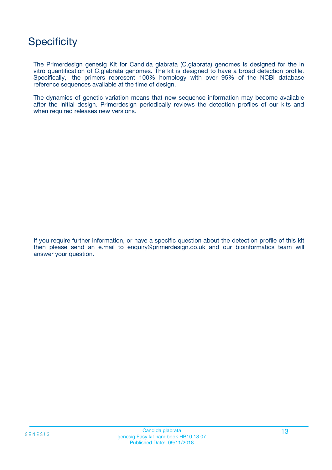## **Specificity**

The Primerdesign genesig Kit for Candida glabrata (C.glabrata) genomes is designed for the in vitro quantification of C.glabrata genomes. The kit is designed to have a broad detection profile. Specifically, the primers represent 100% homology with over 95% of the NCBI database reference sequences available at the time of design.

The dynamics of genetic variation means that new sequence information may become available after the initial design. Primerdesign periodically reviews the detection profiles of our kits and when required releases new versions.

If you require further information, or have a specific question about the detection profile of this kit then please send an e.mail to enquiry@primerdesign.co.uk and our bioinformatics team will answer your question.